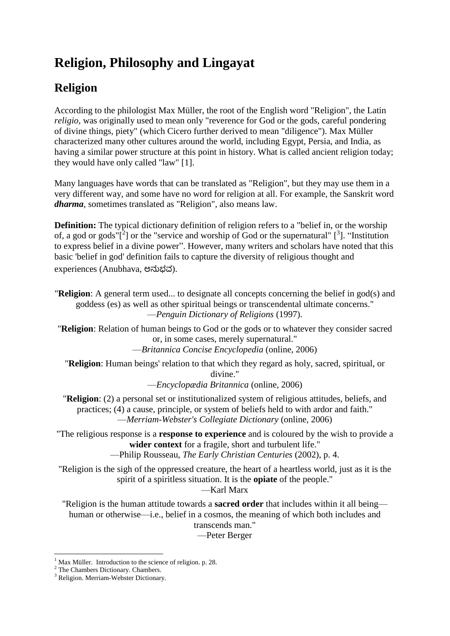# **Religion, Philosophy and Lingayat**

## **Religion**

According to the philologist Max Müller, the root of the English word "Religion", the Latin *religio*, was originally used to mean only "reverence for God or the gods, careful pondering of divine things, piety" (which Cicero further derived to mean "diligence"). Max Müller characterized many other cultures around the world, including Egypt, Persia, and India, as having a similar power structure at this point in history. What is called ancient religion today; they would have only called "law" [1].

Many languages have words that can be translated as "Religion", but they may use them in a very different way, and some have no word for religion at all. For example, the Sanskrit word *dharma*, sometimes translated as "Religion", also means law.

**Definition:** The typical dictionary definition of religion refers to a "belief in, or the worship of, a god or gods" $\left[\begin{array}{c} 2 \end{array}\right]$  or the "service and worship of God or the supernatural"  $\left[\begin{array}{c} 3 \end{array}\right]$ . "Institution to express belief in a divine power". However, many writers and scholars have noted that this basic 'belief in god' definition fails to capture the diversity of religious thought and experiences (Anubhava, ಅನುಭ).

"**Religion**: A general term used... to designate all concepts concerning the belief in god(s) and goddess (es) as well as other spiritual beings or transcendental ultimate concerns." —*Penguin Dictionary of Religions* (1997).

"**Religion**: Relation of human beings to God or the gods or to whatever they consider sacred or, in some cases, merely supernatural."

—*Britannica Concise Encyclopedia* (online, 2006)

"**Religion**: Human beings' relation to that which they regard as holy, sacred, spiritual, or divine."

—*Encyclopædia Britannica* (online, 2006)

"**Religion**: (2) a personal set or institutionalized system of religious attitudes, beliefs, and practices; (4) a cause, principle, or system of beliefs held to with ardor and faith." —*Merriam-Webster's Collegiate Dictionary* (online, 2006)

"The religious response is a **response to experience** and is coloured by the wish to provide a **wider context** for a fragile, short and turbulent life."

—Philip Rousseau, *The Early Christian Centuries* (2002), p. 4.

"Religion is the sigh of the oppressed creature, the heart of a heartless world, just as it is the spirit of a spiritless situation. It is the **opiate** of the people."

—Karl Marx

"Religion is the human attitude towards a **sacred order** that includes within it all being human or otherwise—i.e., belief in a cosmos, the meaning of which both includes and transcends man."

—Peter Berger

1

 $<sup>1</sup>$  Max Müller. Introduction to the science of religion. p. 28.</sup>

<sup>2</sup> The Chambers Dictionary. Chambers.

<sup>&</sup>lt;sup>3</sup> Religion. Merriam-Webster Dictionary.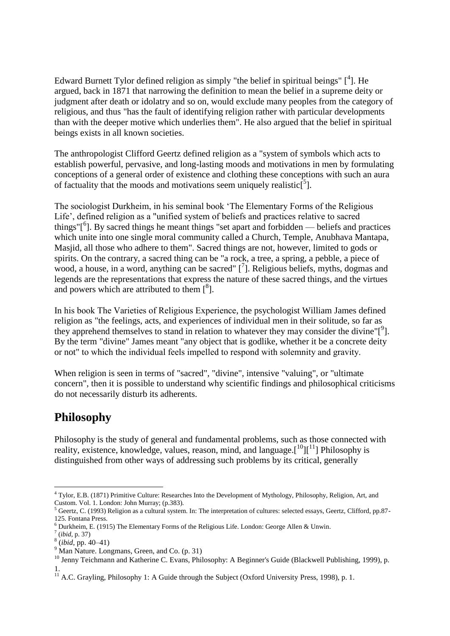Edward Burnett Tylor defined religion as simply "the belief in spiritual beings"  $\left[4\right]$ . He argued, back in 1871 that narrowing the definition to mean the belief in a supreme deity or judgment after death or idolatry and so on, would exclude many peoples from the category of religious, and thus "has the fault of identifying religion rather with particular developments than with the deeper motive which underlies them". He also argued that the belief in spiritual beings exists in all known societies.

The anthropologist Clifford Geertz defined religion as a "system of symbols which acts to establish powerful, pervasive, and long-lasting moods and motivations in men by formulating conceptions of a general order of existence and clothing these conceptions with such an aura of factuality that the moods and motivations seem uniquely realistic $\left[\begin{smallmatrix} 5\\ 5 \end{smallmatrix}\right]$ .

The sociologist Durkheim, in his seminal book 'The Elementary Forms of the Religious Life', defined religion as a "unified system of beliefs and practices relative to sacred things"[ 6 ]. By sacred things he meant things "set apart and forbidden — beliefs and practices which unite into one single moral community called a Church, Temple, Anubhava Mantapa, Masjid, all those who adhere to them". Sacred things are not, however, limited to gods or spirits. On the contrary, a sacred thing can be "a rock, a tree, a spring, a pebble, a piece of wood, a house, in a word, anything can be sacred"  $\left[ \begin{smallmatrix} 7 \end{smallmatrix} \right]$ . Religious beliefs, myths, dogmas and legends are the representations that express the nature of these sacred things, and the virtues and powers which are attributed to them  $\binom{8}{1}$ .

In his book The Varieties of Religious Experience, the psychologist William James defined religion as "the feelings, acts, and experiences of individual men in their solitude, so far as they apprehend themselves to stand in relation to whatever they may consider the divine" $[^9]$ . By the term "divine" James meant "any object that is godlike, whether it be a concrete deity or not" to which the individual feels impelled to respond with solemnity and gravity.

When religion is seen in terms of "sacred", "divine", intensive "valuing", or "ultimate concern", then it is possible to understand why scientific findings and philosophical criticisms do not necessarily disturb its adherents.

### **Philosophy**

Philosophy is the study of general and fundamental problems, such as those connected with reality, existence, knowledge, values, reason, mind, and language. $[10][11]$  Philosophy is distinguished from other ways of addressing such problems by its critical, generally

<sup>1</sup> <sup>4</sup> Tylor, E.B. (1871) Primitive Culture: Researches Into the Development of Mythology, Philosophy, Religion, Art, and Custom. Vol. 1. London: John Murray; (p.383).

<sup>5</sup> Geertz, C. (1993) Religion as a cultural system. In: The interpretation of cultures: selected essays, Geertz, Clifford, pp.87- 125. Fontana Press.

 $6$  Durkheim, E. (1915) The Elementary Forms of the Religious Life. London: George Allen & Unwin.

<sup>7</sup> (*ibid*, p. 37)

<sup>8</sup> (*ibid*, pp. 40–41)

<sup>&</sup>lt;sup>9</sup> Man Nature. Longmans, Green, and Co. (p. 31)

<sup>&</sup>lt;sup>10</sup> Jenny Teichmann and Katherine C. Evans, Philosophy: A Beginner's Guide (Blackwell Publishing, 1999), p. 1.

 $11$  A.C. Grayling, Philosophy 1: A Guide through the Subject (Oxford University Press, 1998), p. 1.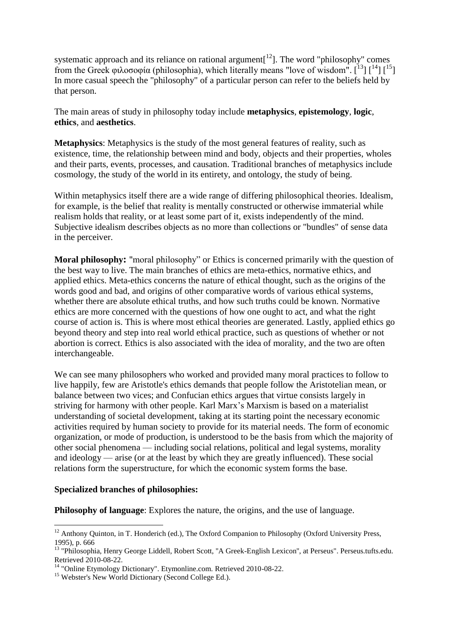systematic approach and its reliance on rational argument $[12]$ . The word "philosophy" comes from the Greek φιλοσοφία (philosophia), which literally means "love of wisdom".  $\lceil$ <sup>13</sup>]  $\lceil$ <sup>14</sup>]  $\lceil$ <sup>15</sup>] In more casual speech the "philosophy" of a particular person can refer to the beliefs held by that person.

The main areas of study in philosophy today include **metaphysics**, **epistemology**, **logic**, **ethics**, and **aesthetics**.

**Metaphysics**: Metaphysics is the study of the most general features of reality, such as existence, time, the relationship between mind and body, objects and their properties, wholes and their parts, events, processes, and causation. Traditional branches of metaphysics include cosmology, the study of the world in its entirety, and ontology, the study of being.

Within metaphysics itself there are a wide range of differing philosophical theories. Idealism, for example, is the belief that reality is mentally constructed or otherwise immaterial while realism holds that reality, or at least some part of it, exists independently of the mind. Subjective idealism describes objects as no more than collections or "bundles" of sense data in the perceiver.

**Moral philosophy:** "moral philosophy" or Ethics is concerned primarily with the question of the best way to live. The main branches of ethics are meta-ethics, normative ethics, and applied ethics. Meta-ethics concerns the nature of ethical thought, such as the origins of the words good and bad, and origins of other comparative words of various ethical systems, whether there are absolute ethical truths, and how such truths could be known. Normative ethics are more concerned with the questions of how one ought to act, and what the right course of action is. This is where most ethical theories are generated. Lastly, applied ethics go beyond theory and step into real world ethical practice, such as questions of whether or not abortion is correct. Ethics is also associated with the idea of morality, and the two are often interchangeable.

We can see many philosophers who worked and provided many moral practices to follow to live happily, few are Aristotle's ethics demands that people follow the Aristotelian mean, or balance between two vices; and Confucian ethics argues that virtue consists largely in striving for harmony with other people. Karl Marx's Marxism is based on a materialist understanding of societal development, taking at its starting point the necessary economic activities required by human society to provide for its material needs. The form of economic organization, or mode of production, is understood to be the basis from which the majority of other social phenomena — including social relations, political and legal systems, morality and ideology — arise (or at the least by which they are greatly influenced). These social relations form the superstructure, for which the economic system forms the base.

#### **Specialized branches of philosophies:**

1

**Philosophy of language**: Explores the nature, the origins, and the use of language.

<sup>&</sup>lt;sup>12</sup> Anthony Quinton, in T. Honderich (ed.), The Oxford Companion to Philosophy (Oxford University Press, 1995), p. 666

<sup>&</sup>lt;sup>13</sup> "Philosophia, Henry George Liddell, Robert Scott, "A Greek-English Lexicon", at Perseus". Perseus.tufts.edu. Retrieved 2010-08-22.

<sup>&</sup>lt;sup>14</sup> "Online Etymology Dictionary". Etymonline.com. Retrieved 2010-08-22.

<sup>&</sup>lt;sup>15</sup> Webster's New World Dictionary (Second College Ed.).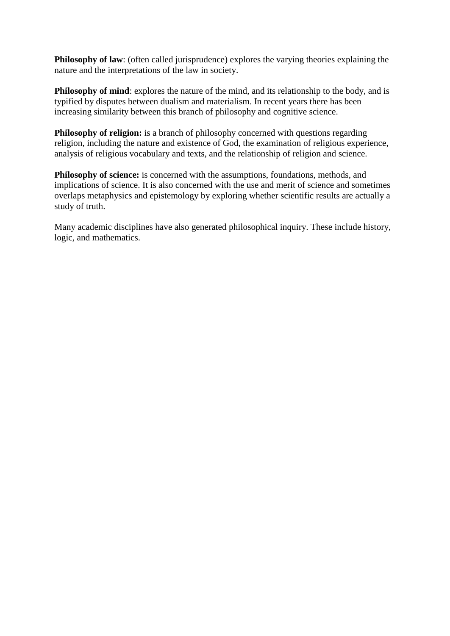**Philosophy of law**: (often called jurisprudence) explores the varying theories explaining the nature and the interpretations of the law in society.

**Philosophy of mind:** explores the nature of the mind, and its relationship to the body, and is typified by disputes between dualism and materialism. In recent years there has been increasing similarity between this branch of philosophy and cognitive science.

**Philosophy of religion:** is a branch of philosophy concerned with questions regarding religion, including the nature and existence of God, the examination of religious experience, analysis of religious vocabulary and texts, and the relationship of religion and science.

**Philosophy of science:** is concerned with the assumptions, foundations, methods, and implications of science. It is also concerned with the use and merit of science and sometimes overlaps metaphysics and epistemology by exploring whether scientific results are actually a study of truth.

Many academic disciplines have also generated philosophical inquiry. These include history, logic, and mathematics.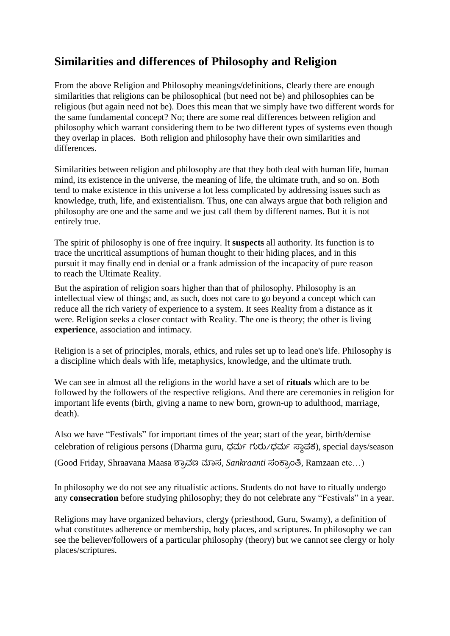## **Similarities and differences of Philosophy and Religion**

From the above Religion and Philosophy meanings/definitions, clearly there are enough similarities that religions can be philosophical (but need not be) and philosophies can be religious (but again need not be). Does this mean that we simply have two different words for the same fundamental concept? No; there are some real differences between religion and philosophy which warrant considering them to be two different types of systems even though they overlap in places. Both religion and philosophy have their own similarities and differences.

Similarities between religion and philosophy are that they both deal with human life, human mind, its existence in the universe, the meaning of life, the ultimate truth, and so on. Both tend to make existence in this universe a lot less complicated by addressing issues such as knowledge, truth, life, and existentialism. Thus, one can always argue that both religion and philosophy are one and the same and we just call them by different names. But it is not entirely true.

The spirit of philosophy is one of free inquiry. It **suspects** all authority. Its function is to trace the uncritical assumptions of human thought to their hiding places, and in this pursuit it may finally end in denial or a frank admission of the incapacity of pure reason to reach the Ultimate Reality.

But the aspiration of religion soars higher than that of philosophy. Philosophy is an intellectual view of things; and, as such, does not care to go beyond a concept which can reduce all the rich variety of experience to a system. It sees Reality from a distance as it were. Religion seeks a closer contact with Reality. The one is theory; the other is living **experience**, association and intimacy.

Religion is a set of principles, morals, ethics, and rules set up to lead one's life. Philosophy is a discipline which deals with life, metaphysics, knowledge, and the ultimate truth.

We can see in almost all the religions in the world have a set of **rituals** which are to be followed by the followers of the respective religions. And there are ceremonies in religion for important life events (birth, giving a name to new born, grown-up to adulthood, marriage, death).

Also we have "Festivals" for important times of the year; start of the year, birth/demise celebration of religious persons (Dharma guru, ಧರ್ಮ ಗುರು/ಧರ್ಮ ಸ್ಥಾಪಕ), special days/season

(Good Friday, Shraavana Maasa ಶ್ಥಾಣ ಮಥಸ, *Sankraanti* ಸಂಕ್ಥಾಂತಿ, Ramzaan etc…)

In philosophy we do not see any ritualistic actions. Students do not have to ritually undergo any **consecration** before studying philosophy; they do not celebrate any "Festivals" in a year.

Religions may have organized behaviors, clergy (priesthood, Guru, Swamy), a definition of what constitutes adherence or membership, holy places, and scriptures. In philosophy we can see the believer/followers of a particular philosophy (theory) but we cannot see clergy or holy places/scriptures.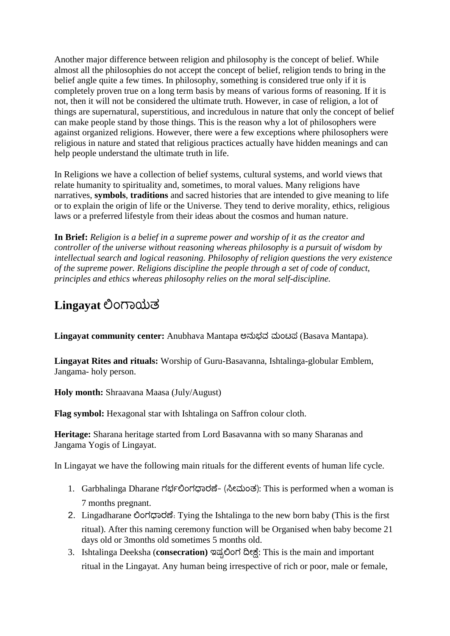Another major difference between religion and philosophy is the concept of belief. While almost all the philosophies do not accept the concept of belief, religion tends to bring in the belief angle quite a few times. In philosophy, something is considered true only if it is completely proven true on a long term basis by means of various forms of reasoning. If it is not, then it will not be considered the ultimate truth. However, in case of religion, a lot of things are supernatural, superstitious, and incredulous in nature that only the concept of belief can make people stand by those things. This is the reason why a lot of philosophers were against organized religions. However, there were a few exceptions where philosophers were religious in nature and stated that religious practices actually have hidden meanings and can help people understand the ultimate truth in life.

In Religions we have a collection of belief systems, cultural systems, and world views that relate humanity to spirituality and, sometimes, to moral values. Many religions have narratives, **symbols**, **traditions** and sacred histories that are intended to give meaning to life or to explain the origin of life or the Universe. They tend to derive morality, ethics, religious laws or a preferred lifestyle from their ideas about the cosmos and human nature.

**In Brief:** *Religion is a belief in a supreme power and worship of it as the creator and controller of the universe without reasoning whereas philosophy is a pursuit of wisdom by intellectual search and logical reasoning. Philosophy of religion questions the very existence of the supreme power. Religions discipline the people through a set of code of conduct, principles and ethics whereas philosophy relies on the moral self-discipline.*

## Lingayat ಲಿಂಗಾಯತ

Lingayat community center: Anubhava Mantapa ಅನುಭವ ಮಂಟಪ (Basava Mantapa).

**Lingayat Rites and rituals:** Worship of Guru-Basavanna, Ishtalinga-globular Emblem, Jangama- holy person.

**Holy month:** Shraavana Maasa (July/August)

**Flag symbol:** Hexagonal star with Ishtalinga on Saffron colour cloth.

**Heritage:** Sharana heritage started from Lord Basavanna with so many Sharanas and Jangama Yogis of Lingayat.

In Lingayat we have the following main rituals for the different events of human life cycle.

- 1. Garbhalinga Dharane ಗರ್ಭಲಿಂಗಧಾರಣೆ- (ಸೀಮಂತ): This is performed when a woman is 7 months pregnant.
- 2. Lingadharane ಲಿಂಗಧಥರಣೆ: Tying the Ishtalinga to the new born baby (This is the first ritual). After this naming ceremony function will be Organised when baby become 21 days old or 3months old sometimes 5 months old.
- 3. Ishtalinga Deeksha (**consecration)** ಇಷ್ಟಲಿಂಗ ದೀಕ್ಷೆ: This is the main and important ritual in the Lingayat. Any human being irrespective of rich or poor, male or female,